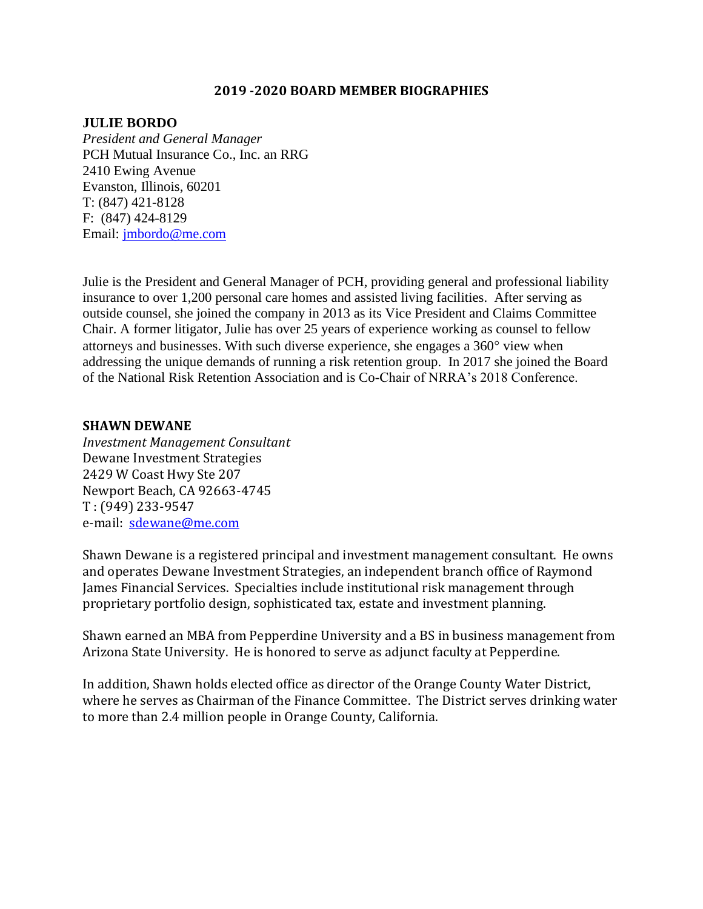#### **2019 -2020 BOARD MEMBER BIOGRAPHIES**

#### **JULIE BORDO**

*President and General Manager*  PCH Mutual Insurance Co., Inc. an RRG 2410 Ewing Avenue Evanston, Illinois, 60201 T: (847) 421-8128 F: (847) 424-8129 Email: [jmbordo@me.com](mailto:jmbordo@me.com)

Julie is the President and General Manager of PCH, providing general and professional liability insurance to over 1,200 personal care homes and assisted living facilities. After serving as outside counsel, she joined the company in 2013 as its Vice President and Claims Committee Chair. A former litigator, Julie has over 25 years of experience working as counsel to fellow attorneys and businesses. With such diverse experience, she engages a 360° view when addressing the unique demands of running a risk retention group. In 2017 she joined the Board of the National Risk Retention Association and is Co-Chair of NRRA's 2018 Conference.

#### **SHAWN DEWANE**

*Investment Management Consultant* Dewane Investment Strategies 2429 W Coast Hwy Ste 207 Newport Beach, CA 92663-4745 T : (949) 233-9547 e-mail: [sdewane@me.com](mailto:sdewane@me.com)

Shawn Dewane is a registered principal and investment management consultant. He owns and operates Dewane Investment Strategies, an independent branch office of Raymond James Financial Services. Specialties include institutional risk management through proprietary portfolio design, sophisticated tax, estate and investment planning.

Shawn earned an MBA from Pepperdine University and a BS in business management from Arizona State University. He is honored to serve as adjunct faculty at Pepperdine.

In addition, Shawn holds elected office as director of the Orange County Water District, where he serves as Chairman of the Finance Committee. The District serves drinking water to more than 2.4 million people in Orange County, California.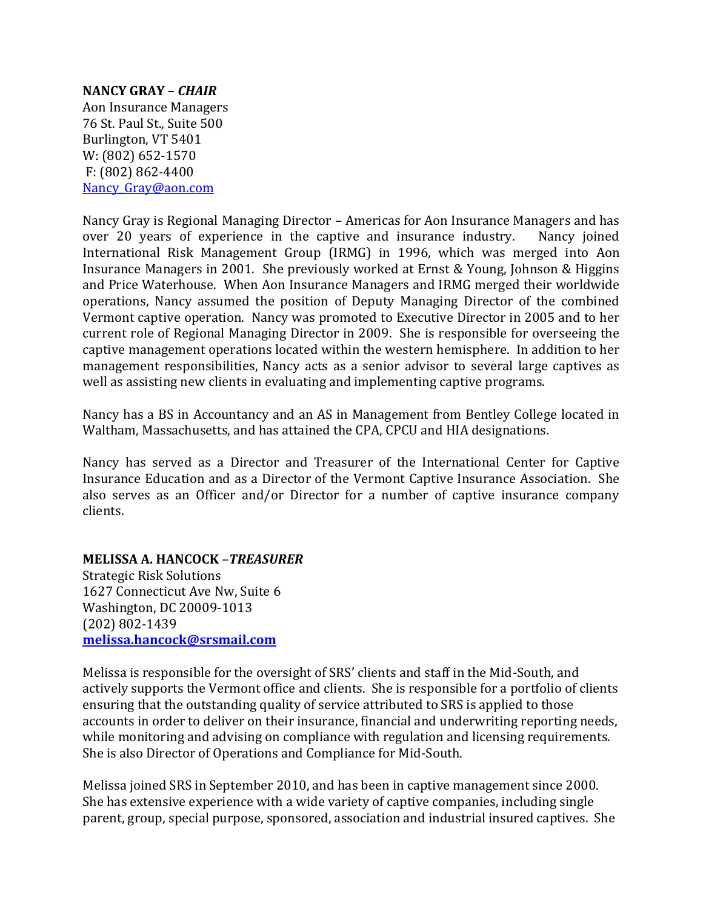#### **NANCY GRAY –** *CHAIR*

Aon Insurance Managers 76 St. Paul St., Suite 500 Burlington, VT 5401 W: (802) 652-1570 F: (802) 862-4400 Nancy Gray@aon.com

Nancy Gray is Regional Managing Director – Americas for Aon Insurance Managers and has over 20 years of experience in the captive and insurance industry. Nancy joined International Risk Management Group (IRMG) in 1996, which was merged into Aon Insurance Managers in 2001. She previously worked at Ernst & Young, Johnson & Higgins and Price Waterhouse. When Aon Insurance Managers and IRMG merged their worldwide operations, Nancy assumed the position of Deputy Managing Director of the combined Vermont captive operation. Nancy was promoted to Executive Director in 2005 and to her current role of Regional Managing Director in 2009. She is responsible for overseeing the captive management operations located within the western hemisphere. In addition to her management responsibilities, Nancy acts as a senior advisor to several large captives as well as assisting new clients in evaluating and implementing captive programs.

Nancy has a BS in Accountancy and an AS in Management from Bentley College located in Waltham, Massachusetts, and has attained the CPA, CPCU and HIA designations.

Nancy has served as a Director and Treasurer of the International Center for Captive Insurance Education and as a Director of the Vermont Captive Insurance Association. She also serves as an Officer and/or Director for a number of captive insurance company clients.

**MELISSA A. HANCOCK** –*TREASURER*

Strategic Risk Solutions 1627 Connecticut Ave Nw, Suite 6 Washington, DC 20009-1013 (202) 802-1439 **[melissa.hancock@srsmail.com](mailto:melissa.hancock@srsmail.com)**

Melissa is responsible for the oversight of SRS' clients and staff in the Mid-South, and actively supports the Vermont office and clients. She is responsible for a portfolio of clients ensuring that the outstanding quality of service attributed to SRS is applied to those accounts in order to deliver on their insurance, financial and underwriting reporting needs, while monitoring and advising on compliance with regulation and licensing requirements. She is also Director of Operations and Compliance for Mid-South.

Melissa joined SRS in September 2010, and has been in captive management since 2000. She has extensive experience with a wide variety of captive companies, including single parent, group, special purpose, sponsored, association and industrial insured captives. She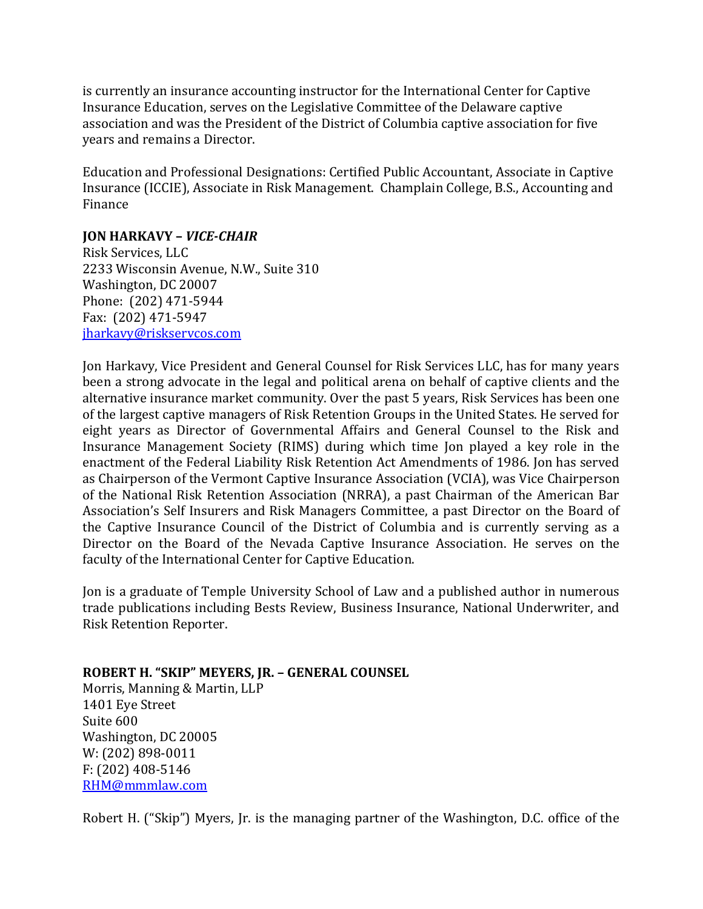is currently an insurance accounting instructor for the International Center for Captive Insurance Education, serves on the Legislative Committee of the Delaware captive association and was the President of the District of Columbia captive association for five years and remains a Director.

Education and Professional Designations: Certified Public Accountant, Associate in Captive Insurance (ICCIE), Associate in Risk Management. Champlain College, B.S., Accounting and Finance

## **JON HARKAVY –** *VICE-CHAIR*

Risk Services, LLC 2233 Wisconsin Avenue, N.W., Suite 310 Washington, DC 20007 Phone: (202) 471-5944 Fax: (202) 471-5947 [jharkavy@riskservcos.com](mailto:jharkavy@riskservcos.com)

Jon Harkavy, Vice President and General Counsel for Risk Services LLC, has for many years been a strong advocate in the legal and political arena on behalf of captive clients and the alternative insurance market community. Over the past 5 years, Risk Services has been one of the largest captive managers of Risk Retention Groups in the United States. He served for eight years as Director of Governmental Affairs and General Counsel to the Risk and Insurance Management Society (RIMS) during which time Jon played a key role in the enactment of the Federal Liability Risk Retention Act Amendments of 1986. Jon has served as Chairperson of the Vermont Captive Insurance Association (VCIA), was Vice Chairperson of the National Risk Retention Association (NRRA), a past Chairman of the American Bar Association's Self Insurers and Risk Managers Committee, a past Director on the Board of the Captive Insurance Council of the District of Columbia and is currently serving as a Director on the Board of the Nevada Captive Insurance Association. He serves on the faculty of the International Center for Captive Education.

Jon is a graduate of Temple University School of Law and a published author in numerous trade publications including Bests Review, Business Insurance, National Underwriter, and Risk Retention Reporter.

**ROBERT H. "SKIP" MEYERS, JR. – GENERAL COUNSEL** Morris, Manning & Martin, LLP 1401 Eye Street Suite 600 Washington, DC 20005 W: (202) 898-0011 F: (202) 408-5146 [RHM@mmmlaw.com](mailto:RHM@mmmlaw.com) 

Robert H. ("Skip") Myers, Jr. is the managing partner of the Washington, D.C. office of the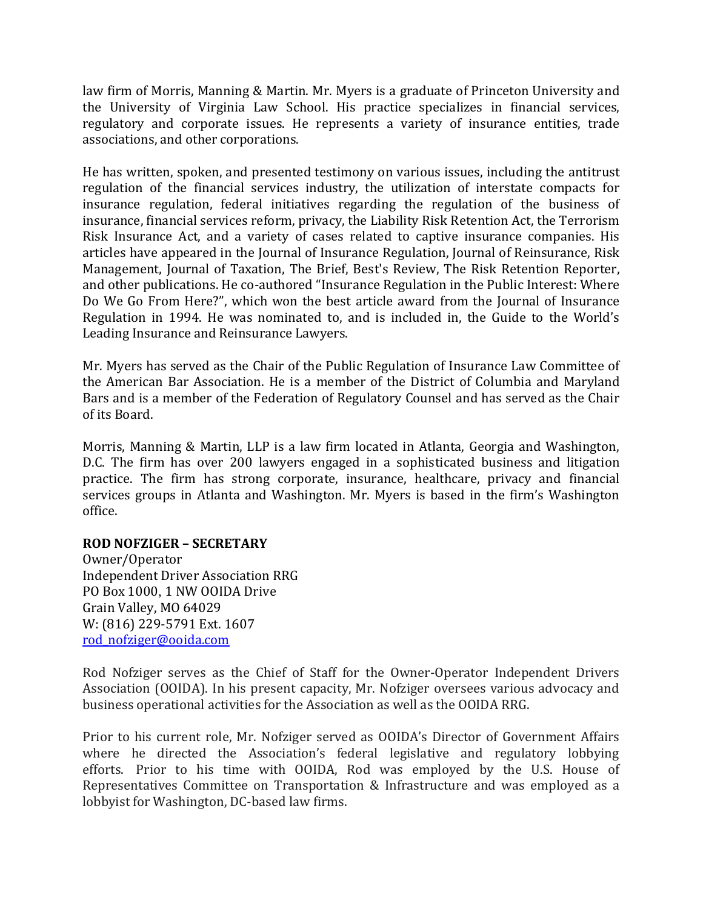law firm of Morris, Manning & Martin. Mr. Myers is a graduate of Princeton University and the University of Virginia Law School. His practice specializes in financial services, regulatory and corporate issues. He represents a variety of insurance entities, trade associations, and other corporations.

He has written, spoken, and presented testimony on various issues, including the antitrust regulation of the financial services industry, the utilization of interstate compacts for insurance regulation, federal initiatives regarding the regulation of the business of insurance, financial services reform, privacy, the Liability Risk Retention Act, the Terrorism Risk Insurance Act, and a variety of cases related to captive insurance companies. His articles have appeared in the Journal of Insurance Regulation, Journal of Reinsurance, Risk Management, Journal of Taxation, The Brief, Best's Review, The Risk Retention Reporter, and other publications. He co-authored "Insurance Regulation in the Public Interest: Where Do We Go From Here?", which won the best article award from the Journal of Insurance Regulation in 1994. He was nominated to, and is included in, the Guide to the World's Leading Insurance and Reinsurance Lawyers.

Mr. Myers has served as the Chair of the Public Regulation of Insurance Law Committee of the American Bar Association. He is a member of the District of Columbia and Maryland Bars and is a member of the Federation of Regulatory Counsel and has served as the Chair of its Board.

Morris, Manning & Martin, LLP is a law firm located in Atlanta, Georgia and Washington, D.C. The firm has over 200 lawyers engaged in a sophisticated business and litigation practice. The firm has strong corporate, insurance, healthcare, privacy and financial services groups in Atlanta and Washington. Mr. Myers is based in the firm's Washington office.

### **ROD NOFZIGER – SECRETARY**

Owner/Operator Independent Driver Association RRG PO Box 1000, 1 NW OOIDA Drive Grain Valley, MO 64029 W: (816) 229-5791 Ext. 1607 [rod\\_nofziger@ooida.com](mailto:rod_nofziger@ooida.com) 

Rod Nofziger serves as the Chief of Staff for the Owner-Operator Independent Drivers Association (OOIDA). In his present capacity, Mr. Nofziger oversees various advocacy and business operational activities for the Association as well as the OOIDA RRG.

Prior to his current role, Mr. Nofziger served as OOIDA's Director of Government Affairs where he directed the Association's federal legislative and regulatory lobbying efforts. Prior to his time with OOIDA, Rod was employed by the U.S. House of Representatives Committee on Transportation & Infrastructure and was employed as a lobbyist for Washington, DC-based law firms.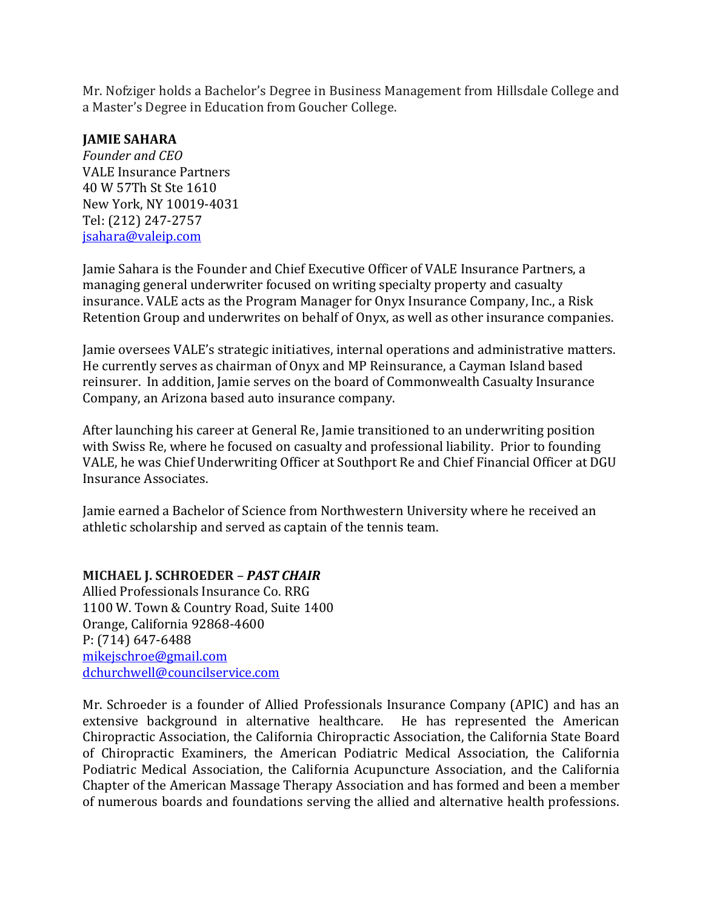Mr. Nofziger holds a Bachelor's Degree in Business Management from Hillsdale College and a Master's Degree in Education from Goucher College.

### **JAMIE SAHARA**

*Founder and CEO*  VALE Insurance Partners 40 W 57Th St Ste 1610 New York, NY 10019-4031 Tel: (212) 247-2757 [jsahara@valeip.com](mailto:jsahara@valeip.com)

Jamie Sahara is the Founder and Chief Executive Officer of VALE Insurance Partners, a managing general underwriter focused on writing specialty property and casualty insurance. VALE acts as the Program Manager for Onyx Insurance Company, Inc., a Risk Retention Group and underwrites on behalf of Onyx, as well as other insurance companies.

Jamie oversees VALE's strategic initiatives, internal operations and administrative matters. He currently serves as chairman of Onyx and MP Reinsurance, a Cayman Island based reinsurer. In addition, Jamie serves on the board of Commonwealth Casualty Insurance Company, an Arizona based auto insurance company.

After launching his career at General Re, Jamie transitioned to an underwriting position with Swiss Re, where he focused on casualty and professional liability. Prior to founding VALE, he was Chief Underwriting Officer at Southport Re and Chief Financial Officer at DGU Insurance Associates.

Jamie earned a Bachelor of Science from Northwestern University where he received an athletic scholarship and served as captain of the tennis team.

# **MICHAEL J. SCHROEDER** *– PAST CHAIR*

Allied Professionals Insurance Co. RRG 1100 W. Town & Country Road, Suite 1400 Orange, California 92868-4600 P: (714) 647-6488 [mikejschroe@gmail.com](mailto:mikejschroe@gmail.com) [dchurchwell@councilservice.com](mailto:dchurchwell@councilservice.com)

Mr. Schroeder is a founder of Allied Professionals Insurance Company (APIC) and has an extensive background in alternative healthcare. He has represented the American Chiropractic Association, the California Chiropractic Association, the California State Board of Chiropractic Examiners, the American Podiatric Medical Association, the California Podiatric Medical Association, the California Acupuncture Association, and the California Chapter of the American Massage Therapy Association and has formed and been a member of numerous boards and foundations serving the allied and alternative health professions.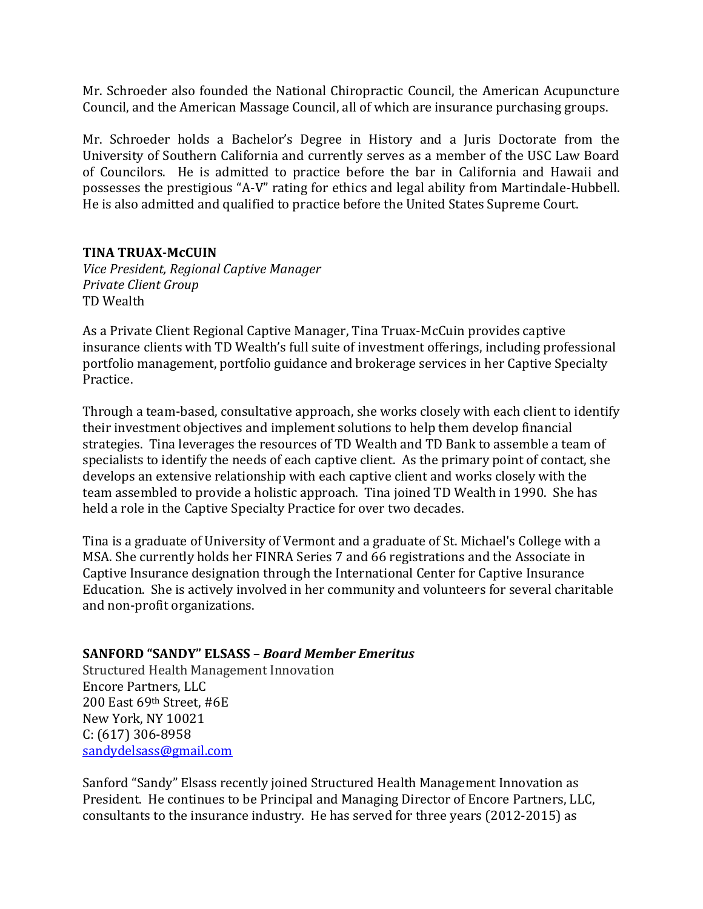Mr. Schroeder also founded the National Chiropractic Council, the American Acupuncture Council, and the American Massage Council, all of which are insurance purchasing groups.

Mr. Schroeder holds a Bachelor's Degree in History and a Juris Doctorate from the University of Southern California and currently serves as a member of the USC Law Board of Councilors. He is admitted to practice before the bar in California and Hawaii and possesses the prestigious "A-V" rating for ethics and legal ability from Martindale-Hubbell. He is also admitted and qualified to practice before the United States Supreme Court.

### **TINA TRUAX-McCUIN**

*Vice President, Regional Captive Manager Private Client Group*  TD Wealth

As a Private Client Regional Captive Manager, Tina Truax-McCuin provides captive insurance clients with TD Wealth's full suite of investment offerings, including professional portfolio management, portfolio guidance and brokerage services in her Captive Specialty Practice.

Through a team-based, consultative approach, she works closely with each client to identify their investment objectives and implement solutions to help them develop financial strategies. Tina leverages the resources of TD Wealth and TD Bank to assemble a team of specialists to identify the needs of each captive client. As the primary point of contact, she develops an extensive relationship with each captive client and works closely with the team assembled to provide a holistic approach. Tina joined TD Wealth in 1990. She has held a role in the Captive Specialty Practice for over two decades.

Tina is a graduate of University of Vermont and a graduate of St. Michael's College with a MSA. She currently holds her FINRA Series 7 and 66 registrations and the Associate in Captive Insurance designation through the International Center for Captive Insurance Education. She is actively involved in her community and volunteers for several charitable and non-profit organizations.

# **SANFORD "SANDY" ELSASS –** *Board Member Emeritus*

Structured Health Management Innovation Encore Partners, LLC 200 East 69th Street, #6E New York, NY 10021 C: (617) 306-8958 [sandydelsass@gmail.com](mailto:sandydelsass@gmail.com)

Sanford "Sandy" Elsass recently joined Structured Health Management Innovation as President. He continues to be Principal and Managing Director of Encore Partners, LLC, consultants to the insurance industry. He has served for three years (2012-2015) as